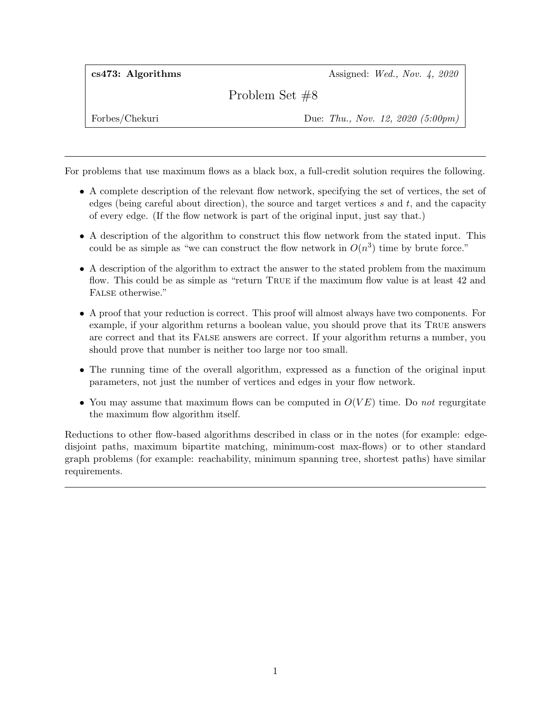cs473: Algorithms  $\alpha$  Assigned: Wed., Nov. 4, 2020

Problem Set #8

Forbes/Chekuri Due: Thu., Nov. 12, 2020 (5:00pm)

For problems that use maximum flows as a black box, a full-credit solution requires the following.

- A complete description of the relevant flow network, specifying the set of vertices, the set of edges (being careful about direction), the source and target vertices  $s$  and  $t$ , and the capacity of every edge. (If the flow network is part of the original input, just say that.)
- A description of the algorithm to construct this flow network from the stated input. This could be as simple as "we can construct the flow network in  $O(n^3)$  time by brute force."
- A description of the algorithm to extract the answer to the stated problem from the maximum flow. This could be as simple as "return True if the maximum flow value is at least 42 and FALSE otherwise."
- A proof that your reduction is correct. This proof will almost always have two components. For example, if your algorithm returns a boolean value, you should prove that its True answers are correct and that its False answers are correct. If your algorithm returns a number, you should prove that number is neither too large nor too small.
- The running time of the overall algorithm, expressed as a function of the original input parameters, not just the number of vertices and edges in your flow network.
- You may assume that maximum flows can be computed in  $O(VE)$  time. Do not regurgitate the maximum flow algorithm itself.

Reductions to other flow-based algorithms described in class or in the notes (for example: edgedisjoint paths, maximum bipartite matching, minimum-cost max-flows) or to other standard graph problems (for example: reachability, minimum spanning tree, shortest paths) have similar requirements.